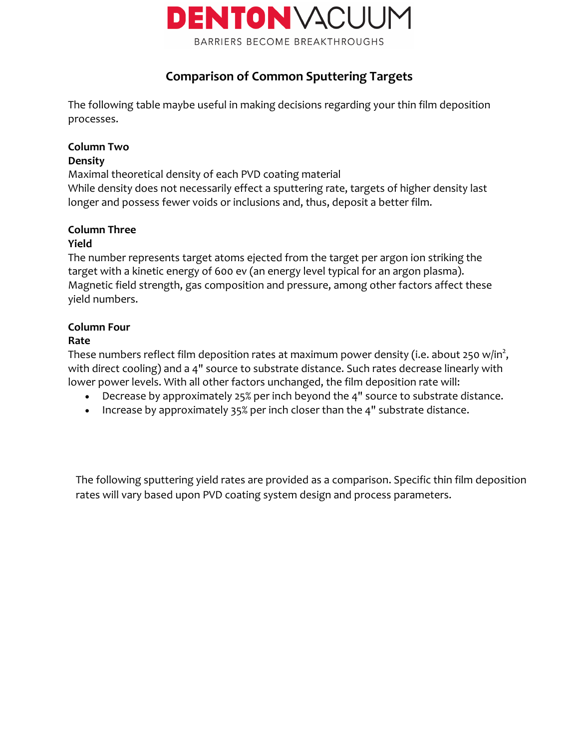

# **Comparison of Common Sputtering Targets**

The following table maybe useful in making decisions regarding your thin film deposition processes.

## **Column Two**

#### **Density**

Maximal theoretical density of each PVD coating material While density does not necessarily effect a sputtering rate, targets of higher density last longer and possess fewer voids or inclusions and, thus, deposit a better film.

# **Column Three**

### **Yield**

The number represents target atoms ejected from the target per argon ion striking the target with a kinetic energy of 600 ev (an energy level typical for an argon plasma). Magnetic field strength, gas composition and pressure, among other factors affect these yield numbers.

### **Column Four**

#### **Rate**

These numbers reflect film deposition rates at maximum power density (i.e. about 250 w/in $^2$ , with direct cooling) and a 4" source to substrate distance. Such rates decrease linearly with lower power levels. With all other factors unchanged, the film deposition rate will:

- Decrease by approximately 25% per inch beyond the 4" source to substrate distance.
- Increase by approximately 35% per inch closer than the 4" substrate distance.

The following sputtering yield rates are provided as a comparison. Specific thin film deposition rates will vary based upon PVD coating system design and process parameters.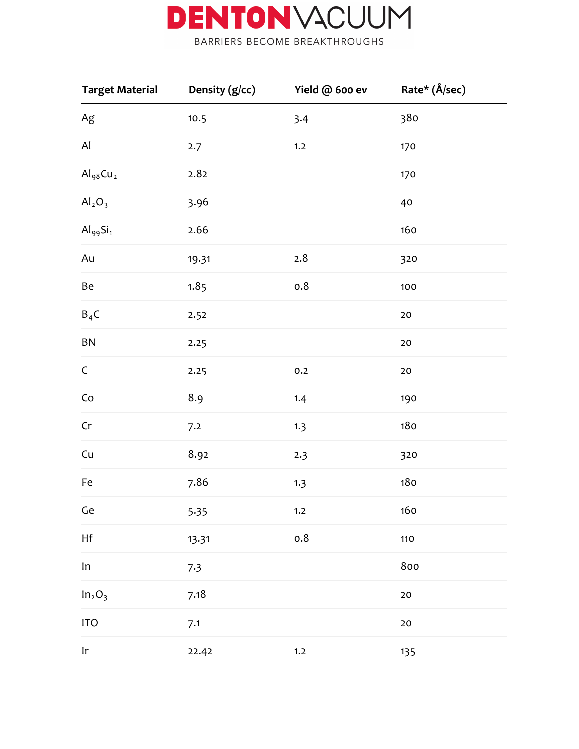

| <b>Target Material</b>              | Density (g/cc) | Yield @ 600 ev | Rate* (Å/sec) |  |
|-------------------------------------|----------------|----------------|---------------|--|
| $Ag$                                | 10.5           | 3.4            | 380           |  |
| Al                                  | 2.7            | 1.2            | 170           |  |
| $\mathrm{Al}_{98}\mathrm{Cu}_{2}$   | 2.82           |                | 170           |  |
| Al <sub>2</sub> O <sub>3</sub>      | 3.96           |                | 40            |  |
| $\mathrm{Al}_{99}\mathrm{Si}_1$     | 2.66           |                | 160           |  |
| Au                                  | 19.31          | 2.8            | 320           |  |
| Be                                  | 1.85           | $0.8\,$        | 100           |  |
| $B_4C$                              | 2.52           |                | $20\,$        |  |
| ${\sf BN}$                          | 2.25           |                | $20\,$        |  |
| $\mathsf C$                         | 2.25           | 0.2            | $20\,$        |  |
| $\mathsf{Co}\xspace$                | 8.9            | 1.4            | 190           |  |
| $\mathsf{Cr}$                       | 7.2            | 1.3            | 180           |  |
| Cu                                  | 8.92           | 2.3            | 320           |  |
| Fe                                  | 7.86           | 1.3            | 180           |  |
| Ge                                  | 5.35           | 1.2            | 160           |  |
| $\mathsf{H}\mathsf{f}$              | 13.31          | 0.8            | 110           |  |
| In                                  | 7.3            |                | 800           |  |
| In <sub>2</sub> O <sub>3</sub>      | 7.18           |                | $20\,$        |  |
| <b>ITO</b>                          | 7.1            |                | $20\,$        |  |
| $\ensuremath{\mathsf{I}\mathsf{r}}$ | 22.42          | 1.2            | 135           |  |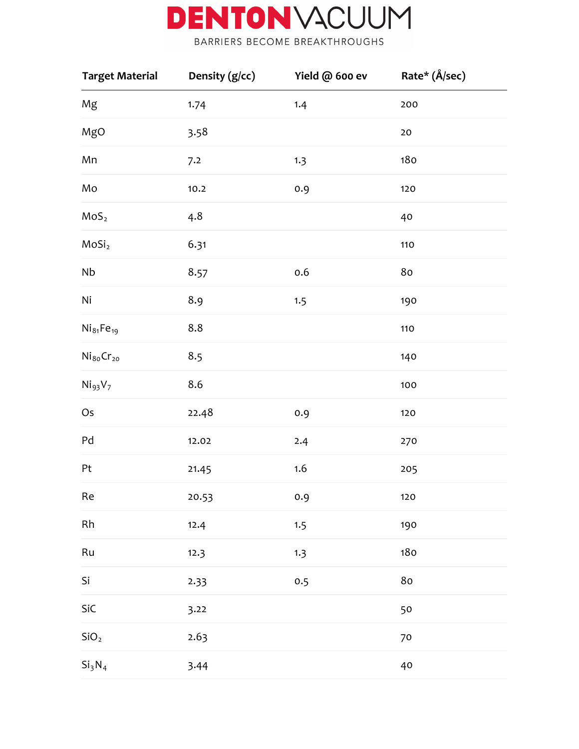

BARRIERS BECOME BREAKTHROUGHS

| <b>Target Material</b>          | Density (g/cc) | Yield @ 600 ev | Rate* (Å/sec) |
|---------------------------------|----------------|----------------|---------------|
| Mg                              | 1.74           | 1.4            | 200           |
| MgO                             | 3.58           |                | $20\,$        |
| Mn                              | 7.2            | 1.3            | 180           |
| Mo                              | 10.2           | 0.9            | 120           |
| MoS <sub>2</sub>                | 4.8            |                | 40            |
| MoSi <sub>2</sub>               | 6.31           |                | $110$         |
| Nb                              | 8.57           | 0.6            | $8\mathrm{o}$ |
| Ni                              | 8.9            | 1.5            | 190           |
| $Ni_{81}Fe_{19}$                | 8.8            |                | 110           |
| $\mathrm{Ni_{80}Cr_{20}}$       | 8.5            |                | 140           |
| Ni <sub>93</sub> V <sub>7</sub> | 8.6            |                | 100           |
| Os                              | 22.48          | 0.9            | 120           |
| Pd                              | 12.02          | 2.4            | 270           |
| Pt                              | 21.45          | 1.6            | 205           |
| Re                              | 20.53          | $0.9\,$        | 120           |
| Rh                              | 12.4           | 1.5            | 190           |
| Ru                              | 12.3           | 1.3            | 180           |
| Si                              | 2.33           | 0.5            | $8\mathrm{o}$ |
| SiC                             | 3.22           |                | 50            |
| SiO <sub>2</sub>                | 2.63           |                | 70            |
| Si <sub>3</sub> N <sub>4</sub>  | 3.44           |                | 40            |